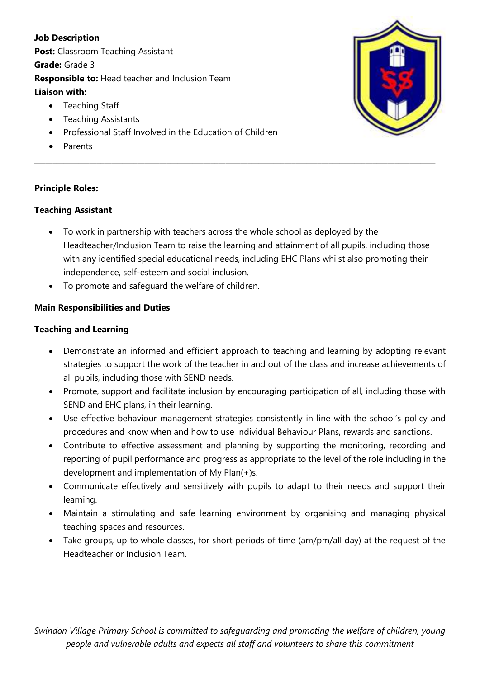**Job Description Post: Classroom Teaching Assistant Grade:** Grade 3 **Responsible to:** Head teacher and Inclusion Team **Liaison with:** 

- Teaching Staff
- Teaching Assistants
- Professional Staff Involved in the Education of Children
- Parents

### **Principle Roles:**

### **Teaching Assistant**

 To work in partnership with teachers across the whole school as deployed by the Headteacher/Inclusion Team to raise the learning and attainment of all pupils, including those with any identified special educational needs, including EHC Plans whilst also promoting their independence, self-esteem and social inclusion.

**\_\_\_\_\_\_\_\_\_\_\_\_\_\_\_\_\_\_\_\_\_\_\_\_\_\_\_\_\_\_\_\_\_\_\_\_\_\_\_\_\_\_\_\_\_\_\_\_\_\_\_\_\_\_\_\_\_\_\_\_\_\_\_\_\_\_\_\_\_\_\_\_\_\_\_\_\_\_\_\_\_\_\_\_\_\_\_\_\_\_\_\_\_\_\_\_\_\_\_\_\_\_\_\_\_\_\_\_\_**

To promote and safeguard the welfare of children.

# **Main Responsibilities and Duties**

#### **Teaching and Learning**

- Demonstrate an informed and efficient approach to teaching and learning by adopting relevant strategies to support the work of the teacher in and out of the class and increase achievements of all pupils, including those with SEND needs.
- Promote, support and facilitate inclusion by encouraging participation of all, including those with SEND and EHC plans, in their learning.
- Use effective behaviour management strategies consistently in line with the school's policy and procedures and know when and how to use Individual Behaviour Plans, rewards and sanctions.
- Contribute to effective assessment and planning by supporting the monitoring, recording and reporting of pupil performance and progress as appropriate to the level of the role including in the development and implementation of My Plan(+)s.
- Communicate effectively and sensitively with pupils to adapt to their needs and support their learning.
- Maintain a stimulating and safe learning environment by organising and managing physical teaching spaces and resources.
- Take groups, up to whole classes, for short periods of time (am/pm/all day) at the request of the Headteacher or Inclusion Team.

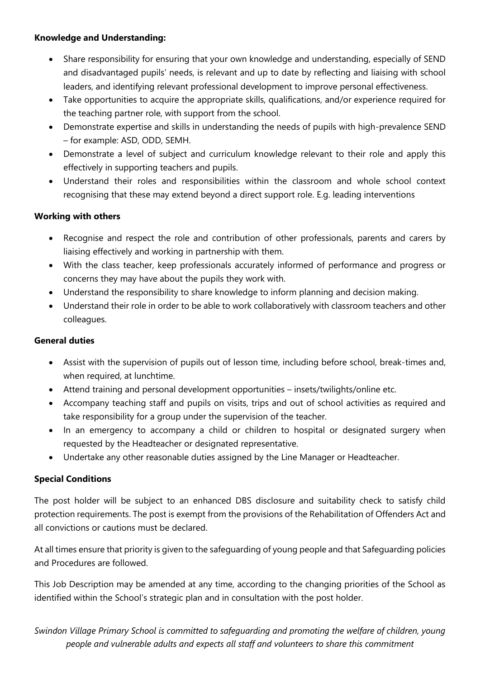### **Knowledge and Understanding:**

- Share responsibility for ensuring that your own knowledge and understanding, especially of SEND and disadvantaged pupils' needs, is relevant and up to date by reflecting and liaising with school leaders, and identifying relevant professional development to improve personal effectiveness.
- Take opportunities to acquire the appropriate skills, qualifications, and/or experience required for the teaching partner role, with support from the school.
- Demonstrate expertise and skills in understanding the needs of pupils with high-prevalence SEND – for example: ASD, ODD, SEMH.
- Demonstrate a level of subject and curriculum knowledge relevant to their role and apply this effectively in supporting teachers and pupils.
- Understand their roles and responsibilities within the classroom and whole school context recognising that these may extend beyond a direct support role. E.g. leading interventions

### **Working with others**

- Recognise and respect the role and contribution of other professionals, parents and carers by liaising effectively and working in partnership with them.
- With the class teacher, keep professionals accurately informed of performance and progress or concerns they may have about the pupils they work with.
- Understand the responsibility to share knowledge to inform planning and decision making.
- Understand their role in order to be able to work collaboratively with classroom teachers and other colleagues.

#### **General duties**

- Assist with the supervision of pupils out of lesson time, including before school, break-times and, when required, at lunchtime.
- Attend training and personal development opportunities insets/twilights/online etc.
- Accompany teaching staff and pupils on visits, trips and out of school activities as required and take responsibility for a group under the supervision of the teacher.
- In an emergency to accompany a child or children to hospital or designated surgery when requested by the Headteacher or designated representative.
- Undertake any other reasonable duties assigned by the Line Manager or Headteacher.

# **Special Conditions**

The post holder will be subject to an enhanced DBS disclosure and suitability check to satisfy child protection requirements. The post is exempt from the provisions of the Rehabilitation of Offenders Act and all convictions or cautions must be declared.

At all times ensure that priority is given to the safeguarding of young people and that Safeguarding policies and Procedures are followed.

This Job Description may be amended at any time, according to the changing priorities of the School as identified within the School's strategic plan and in consultation with the post holder.

*Swindon Village Primary School is committed to safeguarding and promoting the welfare of children, young people and vulnerable adults and expects all staff and volunteers to share this commitment*